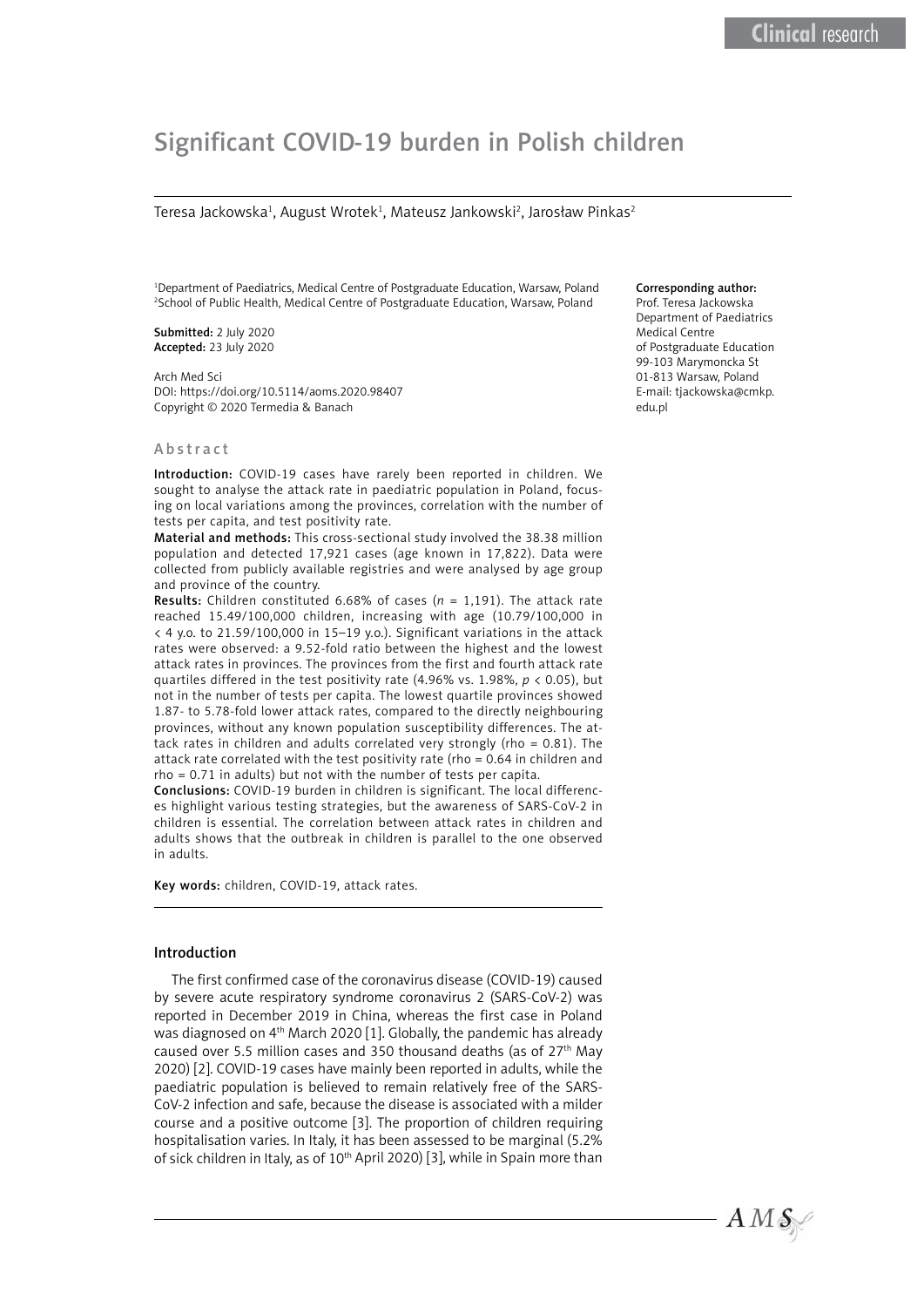# Significant COVID-19 burden in Polish children

Teresa Jackowska<sup>1</sup>, August Wrotek<sup>1</sup>, Mateusz Jankowski<sup>2</sup>, Jarosław Pinkas<sup>2</sup>

1 Department of Paediatrics, Medical Centre of Postgraduate Education, Warsaw, Poland 2 School of Public Health, Medical Centre of Postgraduate Education, Warsaw, Poland

Submitted: 2 July 2020 Accepted: 23 July 2020

Arch Med Sci DOI: https://doi.org/10.5114/aoms.2020.98407 Copyright © 2020 Termedia & Banach

# Abstract

Introduction: COVID-19 cases have rarely been reported in children. We sought to analyse the attack rate in paediatric population in Poland, focusing on local variations among the provinces, correlation with the number of tests per capita, and test positivity rate.

Material and methods: This cross-sectional study involved the 38.38 million population and detected 17,921 cases (age known in 17,822). Data were collected from publicly available registries and were analysed by age group and province of the country.

Results: Children constituted 6.68% of cases (*n* = 1,191). The attack rate reached 15.49/100,000 children, increasing with age (10.79/100,000 in < 4 y.o. to 21.59/100,000 in 15–19 y.o.). Significant variations in the attack rates were observed: a 9.52-fold ratio between the highest and the lowest attack rates in provinces. The provinces from the first and fourth attack rate quartiles differed in the test positivity rate (4.96% vs. 1.98%, *p* < 0.05), but not in the number of tests per capita. The lowest quartile provinces showed 1.87- to 5.78-fold lower attack rates, compared to the directly neighbouring provinces, without any known population susceptibility differences. The attack rates in children and adults correlated very strongly (rho = 0.81). The attack rate correlated with the test positivity rate (rho = 0.64 in children and rho = 0.71 in adults) but not with the number of tests per capita.

Conclusions: COVID-19 burden in children is significant. The local differences highlight various testing strategies, but the awareness of SARS-CoV-2 in children is essential. The correlation between attack rates in children and adults shows that the outbreak in children is parallel to the one observed in adults.

Key words: children, COVID-19, attack rates.

# Introduction

The first confirmed case of the coronavirus disease (COVID-19) caused by severe acute respiratory syndrome coronavirus 2 (SARS-CoV-2) was reported in December 2019 in China, whereas the first case in Poland was diagnosed on 4th March 2020 [1]. Globally, the pandemic has already caused over 5.5 million cases and 350 thousand deaths (as of  $27<sup>th</sup>$  May 2020) [2]. COVID-19 cases have mainly been reported in adults, while the paediatric population is believed to remain relatively free of the SARS-CoV-2 infection and safe, because the disease is associated with a milder course and a positive outcome [3]. The proportion of children requiring hospitalisation varies. In Italy, it has been assessed to be marginal (5.2% of sick children in Italy, as of 10<sup>th</sup> April 2020) [3], while in Spain more than

#### Corresponding author:

Prof. Teresa Jackowska Department of Paediatrics Medical Centre of Postgraduate Education 99-103 Marymoncka St 01-813 Warsaw, Poland E-mail: [tjackowska@cmkp.](mailto:tjackowska@cmkp.edu.pl) [edu.pl](mailto:tjackowska@cmkp.edu.pl)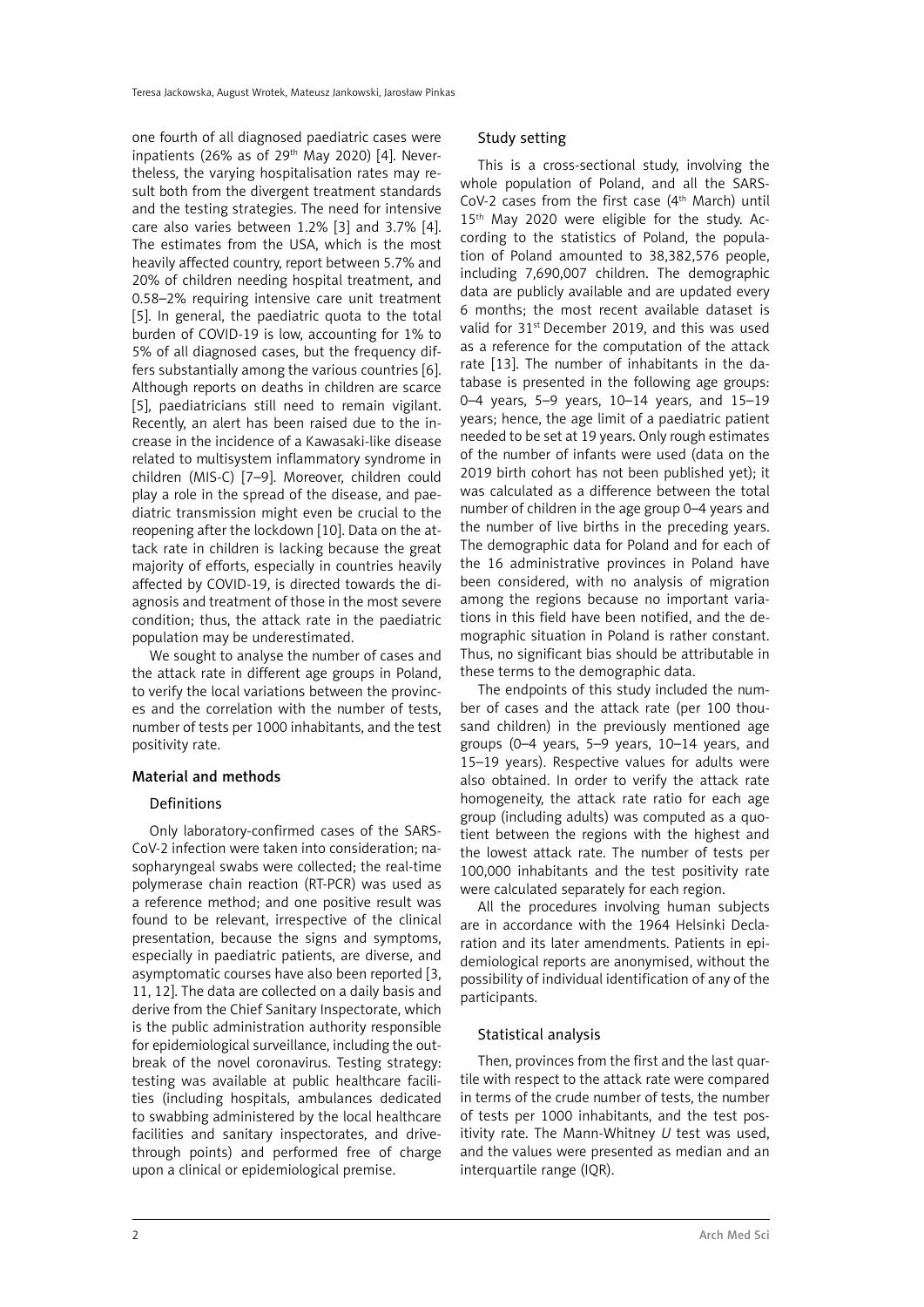one fourth of all diagnosed paediatric cases were inpatients (26% as of 29<sup>th</sup> May 2020) [4]. Nevertheless, the varying hospitalisation rates may result both from the divergent treatment standards and the testing strategies. The need for intensive care also varies between 1.2% [3] and 3.7% [4]. The estimates from the USA, which is the most heavily affected country, report between 5.7% and 20% of children needing hospital treatment, and 0.58–2% requiring intensive care unit treatment [5]. In general, the paediatric quota to the total burden of COVID-19 is low, accounting for 1% to 5% of all diagnosed cases, but the frequency differs substantially among the various countries [6]. Although reports on deaths in children are scarce [5], paediatricians still need to remain vigilant. Recently, an alert has been raised due to the increase in the incidence of a Kawasaki-like disease related to multisystem inflammatory syndrome in children (MIS-C) [7–9]. Moreover, children could play a role in the spread of the disease, and paediatric transmission might even be crucial to the reopening after the lockdown [10]. Data on the attack rate in children is lacking because the great majority of efforts, especially in countries heavily affected by COVID-19, is directed towards the diagnosis and treatment of those in the most severe condition; thus, the attack rate in the paediatric population may be underestimated.

We sought to analyse the number of cases and the attack rate in different age groups in Poland, to verify the local variations between the provinces and the correlation with the number of tests, number of tests per 1000 inhabitants, and the test positivity rate.

# Material and methods

## Definitions

Only laboratory-confirmed cases of the SARS-CoV-2 infection were taken into consideration; nasopharyngeal swabs were collected; the real-time polymerase chain reaction (RT-PCR) was used as a reference method; and one positive result was found to be relevant, irrespective of the clinical presentation, because the signs and symptoms, especially in paediatric patients, are diverse, and asymptomatic courses have also been reported [3, 11, 12]. The data are collected on a daily basis and derive from the Chief Sanitary Inspectorate, which is the public administration authority responsible for epidemiological surveillance, including the outbreak of the novel coronavirus. Testing strategy: testing was available at public healthcare facilities (including hospitals, ambulances dedicated to swabbing administered by the local healthcare facilities and sanitary inspectorates, and drivethrough points) and performed free of charge upon a clinical or epidemiological premise.

# Study setting

This is a cross-sectional study, involving the whole population of Poland, and all the SARS-CoV-2 cases from the first case  $(4<sup>th</sup> March)$  until 15<sup>th</sup> May 2020 were eligible for the study. According to the statistics of Poland, the population of Poland amounted to 38,382,576 people, including 7,690,007 children. The demographic data are publicly available and are updated every 6 months; the most recent available dataset is valid for 31st December 2019, and this was used as a reference for the computation of the attack rate [13]. The number of inhabitants in the database is presented in the following age groups: 0–4 years, 5–9 years, 10–14 years, and 15–19 years; hence, the age limit of a paediatric patient needed to be set at 19 years. Only rough estimates of the number of infants were used (data on the 2019 birth cohort has not been published yet); it was calculated as a difference between the total number of children in the age group 0–4 years and the number of live births in the preceding years. The demographic data for Poland and for each of the 16 administrative provinces in Poland have been considered, with no analysis of migration among the regions because no important variations in this field have been notified, and the demographic situation in Poland is rather constant. Thus, no significant bias should be attributable in these terms to the demographic data.

The endpoints of this study included the number of cases and the attack rate (per 100 thousand children) in the previously mentioned age groups (0–4 years, 5–9 years, 10–14 years, and 15–19 years). Respective values for adults were also obtained. In order to verify the attack rate homogeneity, the attack rate ratio for each age group (including adults) was computed as a quotient between the regions with the highest and the lowest attack rate. The number of tests per 100,000 inhabitants and the test positivity rate were calculated separately for each region.

All the procedures involving human subjects are in accordance with the 1964 Helsinki Declaration and its later amendments. Patients in epidemiological reports are anonymised, without the possibility of individual identification of any of the participants.

# Statistical analysis

Then, provinces from the first and the last quartile with respect to the attack rate were compared in terms of the crude number of tests, the number of tests per 1000 inhabitants, and the test positivity rate. The Mann-Whitney *U* test was used, and the values were presented as median and an interquartile range (IQR).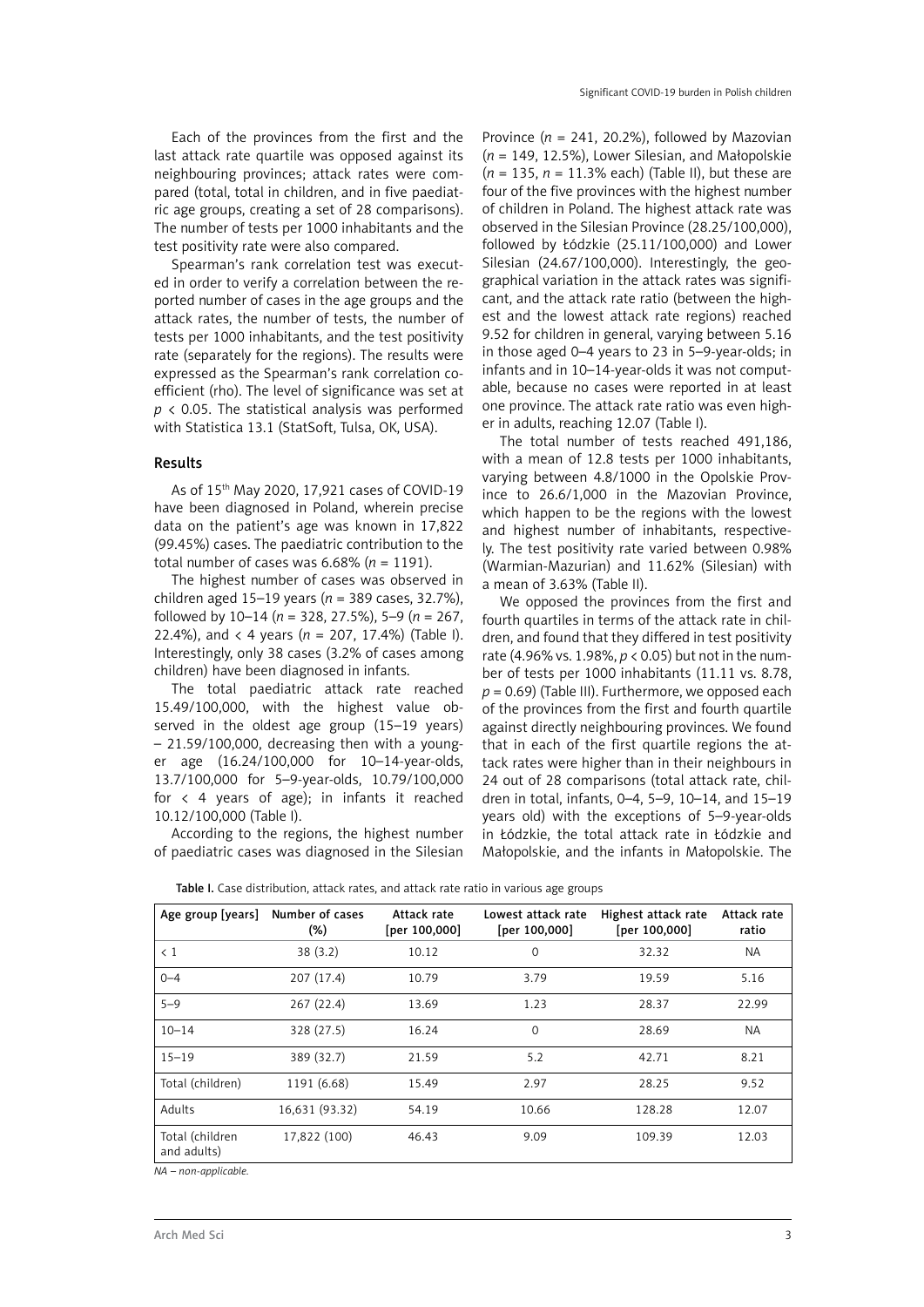Each of the provinces from the first and the last attack rate quartile was opposed against its neighbouring provinces; attack rates were compared (total, total in children, and in five paediatric age groups, creating a set of 28 comparisons). The number of tests per 1000 inhabitants and the test positivity rate were also compared.

Spearman's rank correlation test was executed in order to verify a correlation between the reported number of cases in the age groups and the attack rates, the number of tests, the number of tests per 1000 inhabitants, and the test positivity rate (separately for the regions). The results were expressed as the Spearman's rank correlation coefficient (rho). The level of significance was set at *p* < 0.05. The statistical analysis was performed with Statistica 13.1 (StatSoft, Tulsa, OK, USA).

#### Results

As of 15th May 2020, 17,921 cases of COVID-19 have been diagnosed in Poland, wherein precise data on the patient's age was known in 17,822 (99.45%) cases. The paediatric contribution to the total number of cases was 6.68% (*n* = 1191).

The highest number of cases was observed in children aged 15–19 years (*n* = 389 cases, 32.7%), followed by 10–14 (*n* = 328, 27.5%), 5–9 (*n* = 267, 22.4%), and  $\langle$  4 years ( $n = 207, 17.4%$ ) (Table I). Interestingly, only 38 cases (3.2% of cases among children) have been diagnosed in infants.

The total paediatric attack rate reached 15.49/100,000, with the highest value observed in the oldest age group (15–19 years) – 21.59/100,000, decreasing then with a younger age (16.24/100,000 for 10–14-year-olds, 13.7/100,000 for 5–9-year-olds, 10.79/100,000 for < 4 years of age); in infants it reached 10.12/100,000 (Table I).

According to the regions, the highest number of paediatric cases was diagnosed in the Silesian

Province  $(n = 241, 20.2\%)$ , followed by Mazovian (*n* = 149, 12.5%), Lower Silesian, and Małopolskie (*n* = 135, *n* = 11.3% each) (Table II), but these are four of the five provinces with the highest number of children in Poland. The highest attack rate was observed in the Silesian Province (28.25/100,000), followed by Łódzkie (25.11/100,000) and Lower Silesian (24.67/100,000). Interestingly, the geographical variation in the attack rates was significant, and the attack rate ratio (between the highest and the lowest attack rate regions) reached 9.52 for children in general, varying between 5.16 in those aged 0–4 years to 23 in 5–9-year-olds; in infants and in 10–14-year-olds it was not computable, because no cases were reported in at least one province. The attack rate ratio was even higher in adults, reaching 12.07 (Table I).

The total number of tests reached 491,186, with a mean of 12.8 tests per 1000 inhabitants, varying between 4.8/1000 in the Opolskie Province to 26.6/1,000 in the Mazovian Province, which happen to be the regions with the lowest and highest number of inhabitants, respectively. The test positivity rate varied between 0.98% (Warmian-Mazurian) and 11.62% (Silesian) with a mean of 3.63% (Table II).

We opposed the provinces from the first and fourth quartiles in terms of the attack rate in children, and found that they differed in test positivity rate (4.96% vs. 1.98%, *p* < 0.05) but not in the number of tests per 1000 inhabitants (11.11 vs. 8.78,  $p = 0.69$ ) (Table III). Furthermore, we opposed each of the provinces from the first and fourth quartile against directly neighbouring provinces. We found that in each of the first quartile regions the attack rates were higher than in their neighbours in 24 out of 28 comparisons (total attack rate, children in total, infants, 0–4, 5–9, 10–14, and 15–19 years old) with the exceptions of 5–9-year-olds in Łódzkie, the total attack rate in Łódzkie and Małopolskie, and the infants in Małopolskie. The

| Age group [years]              | Number of cases<br>(%) | Attack rate<br>[per 100,000] | Lowest attack rate<br>[per 100,000] | Highest attack rate<br>[per 100,000] | Attack rate<br>ratio |
|--------------------------------|------------------------|------------------------------|-------------------------------------|--------------------------------------|----------------------|
| $\langle 1$                    | 38(3.2)                | 10.12                        | 0                                   | 32.32                                | <b>NA</b>            |
| $0 - 4$                        | 207 (17.4)             | 10.79                        | 3.79                                | 19.59                                | 5.16                 |
| $5 - 9$                        | 267(22.4)              | 13.69                        | 1.23                                | 28.37                                | 22.99                |
| $10 - 14$                      | 328 (27.5)             | 16.24                        | 0                                   | 28.69                                | <b>NA</b>            |
| $15 - 19$                      | 389 (32.7)             | 21.59                        | 5.2                                 | 42.71                                | 8.21                 |
| Total (children)               | 1191 (6.68)            | 15.49                        | 2.97                                | 28.25                                | 9.52                 |
| Adults                         | 16,631 (93.32)         | 54.19                        | 10.66                               | 128.28                               | 12.07                |
| Total (children<br>and adults) | 17,822 (100)           | 46.43                        | 9.09                                | 109.39                               | 12.03                |

Table I. Case distribution, attack rates, and attack rate ratio in various age groups

*NA – non-applicable.*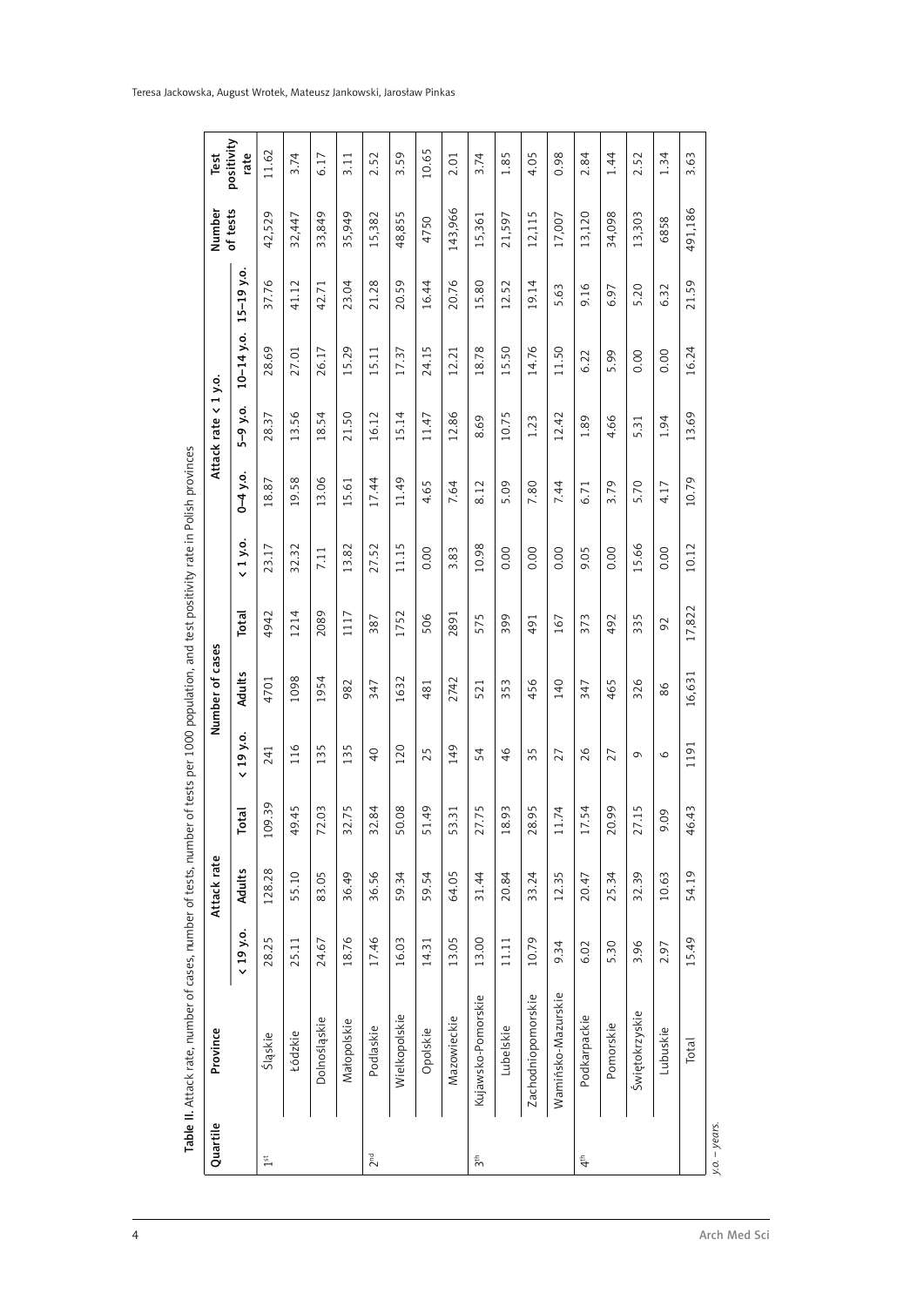| Quartile                               | Province           |           | Attack rate   |                                   |                               | Number of cases |         |                        |              | Attack rate      | $\langle 1 y.0.$       |                | Number      | Test               |
|----------------------------------------|--------------------|-----------|---------------|-----------------------------------|-------------------------------|-----------------|---------|------------------------|--------------|------------------|------------------------|----------------|-------------|--------------------|
|                                        |                    | < 19 y.o. | <b>Adults</b> | <b><u>rai</u></b><br>۴            | 19 y.o.<br>$\checkmark$       | Adults          | Total   | 1 y.o.<br>$\checkmark$ | $0 - 4$ y.o. | ò.<br>$\sqrt{2}$ | $10 - 14$ y.o.         | $15 - 19$ y.o. | of tests    | positivity<br>rate |
| $1^{\rm st}$                           | Śląskie            | 28.25     | 128.28        | 109.39                            | 241                           | 4701            | 4942    | 23.17                  | 18.87        | 28.37            | 28.69                  | 37.76          | 42,529      | 11.62              |
|                                        | Łódzkie            | 25.11     | 55.10         | 45<br>$\frac{9}{4}$               | 116                           | 1098            | 1214    | 32.32                  | 19.58        | 13.56            | 27.01                  | 41.12          | 32,447      | 3.74               |
|                                        | Dolnośląskie       | 24.67     | 83.05         | $\overline{O}$<br>72              | 135                           | 1954            | 2089    | 7.11                   | 13.06        | 18.54            | 26.17                  | 42.71          | 33,849      | 6.17               |
|                                        | Matopolskie        | 18.76     | 36.49         | .75<br>$\overline{3}$             | $\sqrt{ }$<br>$\overline{13}$ | 982             | 1117    | 13.82                  | 15.61        | 21.50            | 15.29                  | 23.04          | 35,949      | 3.11               |
| 2 <sup>nd</sup>                        | Podlaskie          | 17.46     | 36.56         | $\overline{84}$<br>32             | $\overline{4}$                | 347             | 387     | 27.52                  | 17.44        | 16.12            | 15.11                  | 21.28          | 15,382      | 2.52               |
|                                        | Wielkopolskie      | 16.03     | 59.34         | 08<br>5O                          | 120                           | 1632            | 1752    | 11.15                  | 11.49        | 15.14            | 17.37                  | 20.59          | 48,855      | 3.59               |
|                                        | Opolskie           | 14.31     | 59.54         | 49<br>51                          | 25                            | 481             | 506     | 0.00                   | 4.65         | 11.47            | 24.15                  | 16.44          | 4750        | 10.65              |
|                                        | Mazowieckie        | 13.05     | 64.05         | $\overline{31}$<br>53             | 149                           | 2742            | 2891    | 3.83                   | 7.64         | 12.86            | 12.21                  | 20.76          | 143,966     | 2.01               |
| 3 <sup>th</sup>                        | Kujawsko-Pomorskie | 13.00     | 31.44         | .75<br>27                         | 54                            | 521             | S<br>57 | 10.98                  | 8.12         | 8.69             | $\overline{78}$<br>18. | 15.80          | 15,361      | 3.74               |
|                                        | Lubelskie          | 11.11     | 20.84         | $\overline{93}$<br>$\frac{8}{18}$ | 46                            | 353             | 399     | 0.00                   | 5.09         | 10.75            | 15.50                  | 12.52          | 21,597      | 1.85               |
|                                        | Zachodniopomorskie | 10.79     | 33.24         | 95<br>28                          | 35                            | 456             | 491     | 0.00                   | 7.80         | 1.23             | 14.76                  | 19.14          | Б<br>12,11! | 4.05               |
|                                        | Wamińsko-Mazurskie | 9.34      | 12.35         | .74<br>$\Xi$                      | 27                            | 140             | 167     | 0.00                   | 7.44         | 12.42            | 11.50                  | 5.63           | 17,007      | 0.98               |
| $\stackrel{\scriptscriptstyle \pm}{4}$ | Podkarpackie       | 6.02      | 20.47         | 54<br>17                          | 26                            | 347             | 373     | 9.05                   | 6.71         | 1.89             | 6.22                   | 9.16           | 13,120      | 2.84               |
|                                        | Pomorskie          | 5.30      | 25.34         | $\overline{6}$<br>20              | 27                            | 465             | 492     | 0.00                   | 3.79         | 4.66             | 5.99                   | 6.97           | 34,098      | 1.44               |
|                                        | Świętokrzyskie     | 3.96      | 32.39         | $\overline{.15}$<br>27            | $\sigma$                      | 326             | 335     | 5.66                   | 5.70         | 5.31             | 0.00                   | 5.20           | 13,303      | 2.52               |
|                                        | Lubuskie           | 2.97      | 10.63         | $\overline{O}$<br>ö               | $\circ$                       | 86              | 92      | 0.00                   | 4.17         | 1.94             | 0.00                   | 6.32           | 6858        | 1.34               |
|                                        | Total              | 15.49     | 54.19         | 43<br>$\frac{4}{6}$               | 1191                          | 16,631          | 17,822  | 10.12                  | 10.79        | 13.69            | 16.24                  | 21.59          | 491,186     | 3.63               |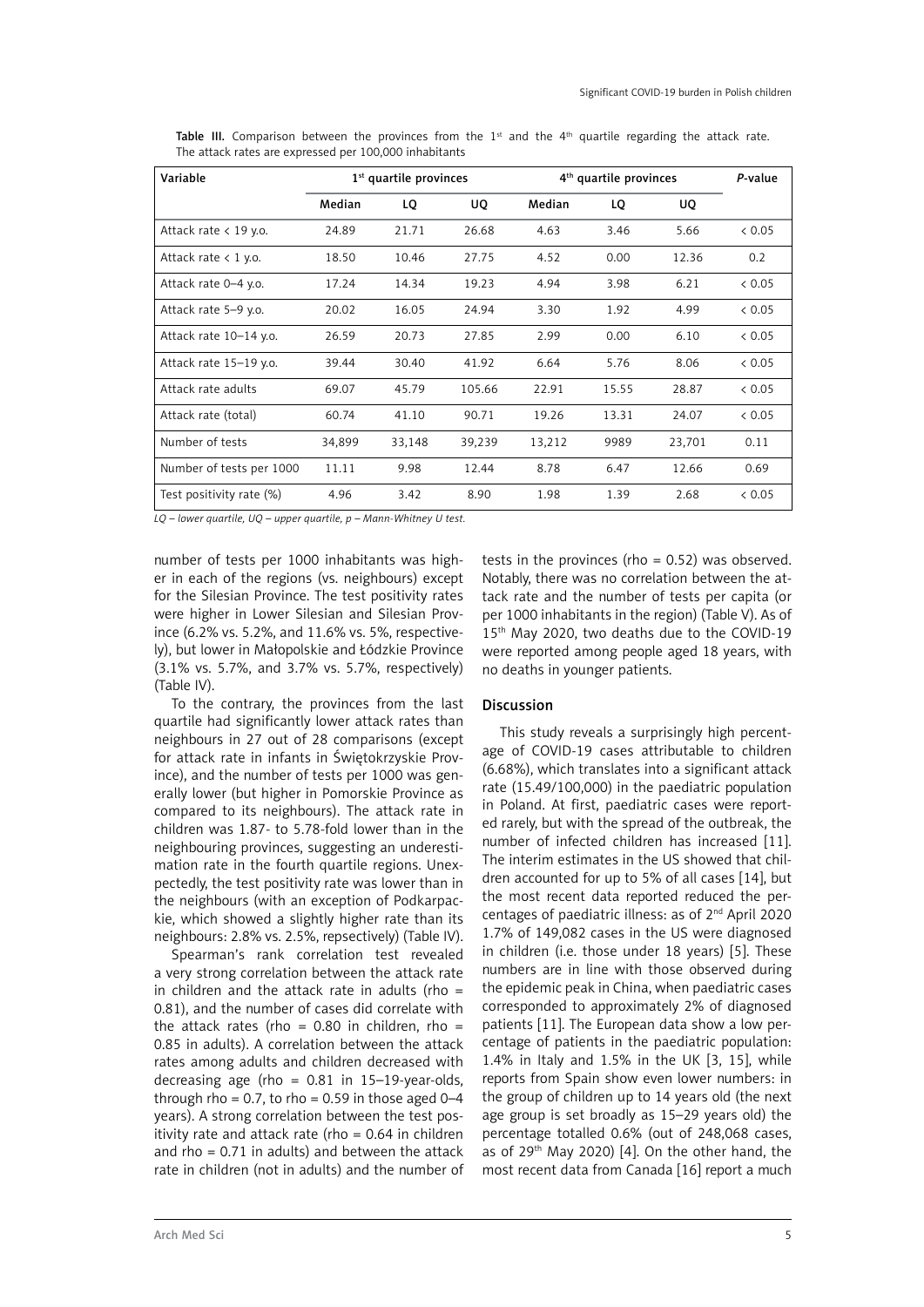| Variable                 |        | $1st$ quartile provinces |        |        | 4 <sup>th</sup> quartile provinces |        | P-value |
|--------------------------|--------|--------------------------|--------|--------|------------------------------------|--------|---------|
|                          | Median | LQ                       | UQ     | Median | LQ                                 | UQ     |         |
| Attack rate $<$ 19 y.o.  | 24.89  | 21.71                    | 26.68  | 4.63   | 3.46                               | 5.66   | & 0.05  |
| Attack rate $< 1$ y.o.   | 18.50  | 10.46                    | 27.75  | 4.52   | 0.00                               | 12.36  | 0.2     |
| Attack rate 0-4 y.o.     | 17.24  | 14.34                    | 19.23  | 4.94   | 3.98                               | 6.21   | & 0.05  |
| Attack rate 5-9 y.o.     | 20.02  | 16.05                    | 24.94  | 3.30   | 1.92                               | 4.99   | < 0.05  |
| Attack rate 10-14 y.o.   | 26.59  | 20.73                    | 27.85  | 2.99   | 0.00                               | 6.10   | & 0.05  |
| Attack rate 15-19 y.o.   | 39.44  | 30.40                    | 41.92  | 6.64   | 5.76                               | 8.06   | < 0.05  |
| Attack rate adults       | 69.07  | 45.79                    | 105.66 | 22.91  | 15.55                              | 28.87  | & 0.05  |
| Attack rate (total)      | 60.74  | 41.10                    | 90.71  | 19.26  | 13.31                              | 24.07  | & 0.05  |
| Number of tests          | 34,899 | 33,148                   | 39,239 | 13,212 | 9989                               | 23,701 | 0.11    |
| Number of tests per 1000 | 11.11  | 9.98                     | 12.44  | 8.78   | 6.47                               | 12.66  | 0.69    |
| Test positivity rate (%) | 4.96   | 3.42                     | 8.90   | 1.98   | 1.39                               | 2.68   | & 0.05  |

Table III. Comparison between the provinces from the  $1<sup>st</sup>$  and the  $4<sup>th</sup>$  quartile regarding the attack rate. The attack rates are expressed per 100,000 inhabitants

*LQ – lower quartile, UQ – upper quartile, p – Mann-Whitney U test.*

number of tests per 1000 inhabitants was higher in each of the regions (vs. neighbours) except for the Silesian Province. The test positivity rates were higher in Lower Silesian and Silesian Province (6.2% vs. 5.2%, and 11.6% vs. 5%, respectively), but lower in Małopolskie and Łódzkie Province (3.1% vs. 5.7%, and 3.7% vs. 5.7%, respectively) (Table IV).

To the contrary, the provinces from the last quartile had significantly lower attack rates than neighbours in 27 out of 28 comparisons (except for attack rate in infants in Świętokrzyskie Province), and the number of tests per 1000 was generally lower (but higher in Pomorskie Province as compared to its neighbours). The attack rate in children was 1.87- to 5.78-fold lower than in the neighbouring provinces, suggesting an underestimation rate in the fourth quartile regions. Unexpectedly, the test positivity rate was lower than in the neighbours (with an exception of Podkarpackie, which showed a slightly higher rate than its neighbours: 2.8% vs. 2.5%, repsectively) (Table IV).

Spearman's rank correlation test revealed a very strong correlation between the attack rate in children and the attack rate in adults (rho  $=$ 0.81), and the number of cases did correlate with the attack rates (rho =  $0.80$  in children, rho = 0.85 in adults). A correlation between the attack rates among adults and children decreased with decreasing age (rho =  $0.81$  in  $15-19$ -vear-olds, through rho =  $0.7$ , to rho =  $0.59$  in those aged  $0-4$ years). A strong correlation between the test positivity rate and attack rate (rho = 0.64 in children and  $rho = 0.71$  in adults) and between the attack rate in children (not in adults) and the number of tests in the provinces (rho  $= 0.52$ ) was observed. Notably, there was no correlation between the attack rate and the number of tests per capita (or per 1000 inhabitants in the region) (Table V). As of 15<sup>th</sup> May 2020, two deaths due to the COVID-19 were reported among people aged 18 years, with no deaths in younger patients.

## Discussion

This study reveals a surprisingly high percentage of COVID-19 cases attributable to children (6.68%), which translates into a significant attack rate (15.49/100,000) in the paediatric population in Poland. At first, paediatric cases were reported rarely, but with the spread of the outbreak, the number of infected children has increased [11]. The interim estimates in the US showed that children accounted for up to 5% of all cases [14], but the most recent data reported reduced the percentages of paediatric illness: as of 2nd April 2020 1.7% of 149,082 cases in the US were diagnosed in children (i.e. those under 18 years) [5]. These numbers are in line with those observed during the epidemic peak in China, when paediatric cases corresponded to approximately 2% of diagnosed patients [11]. The European data show a low percentage of patients in the paediatric population: 1.4% in Italy and 1.5% in the UK [3, 15], while reports from Spain show even lower numbers: in the group of children up to 14 years old (the next age group is set broadly as 15–29 years old) the percentage totalled 0.6% (out of 248,068 cases, as of  $29<sup>th</sup>$  May 2020) [4]. On the other hand, the most recent data from Canada [16] report a much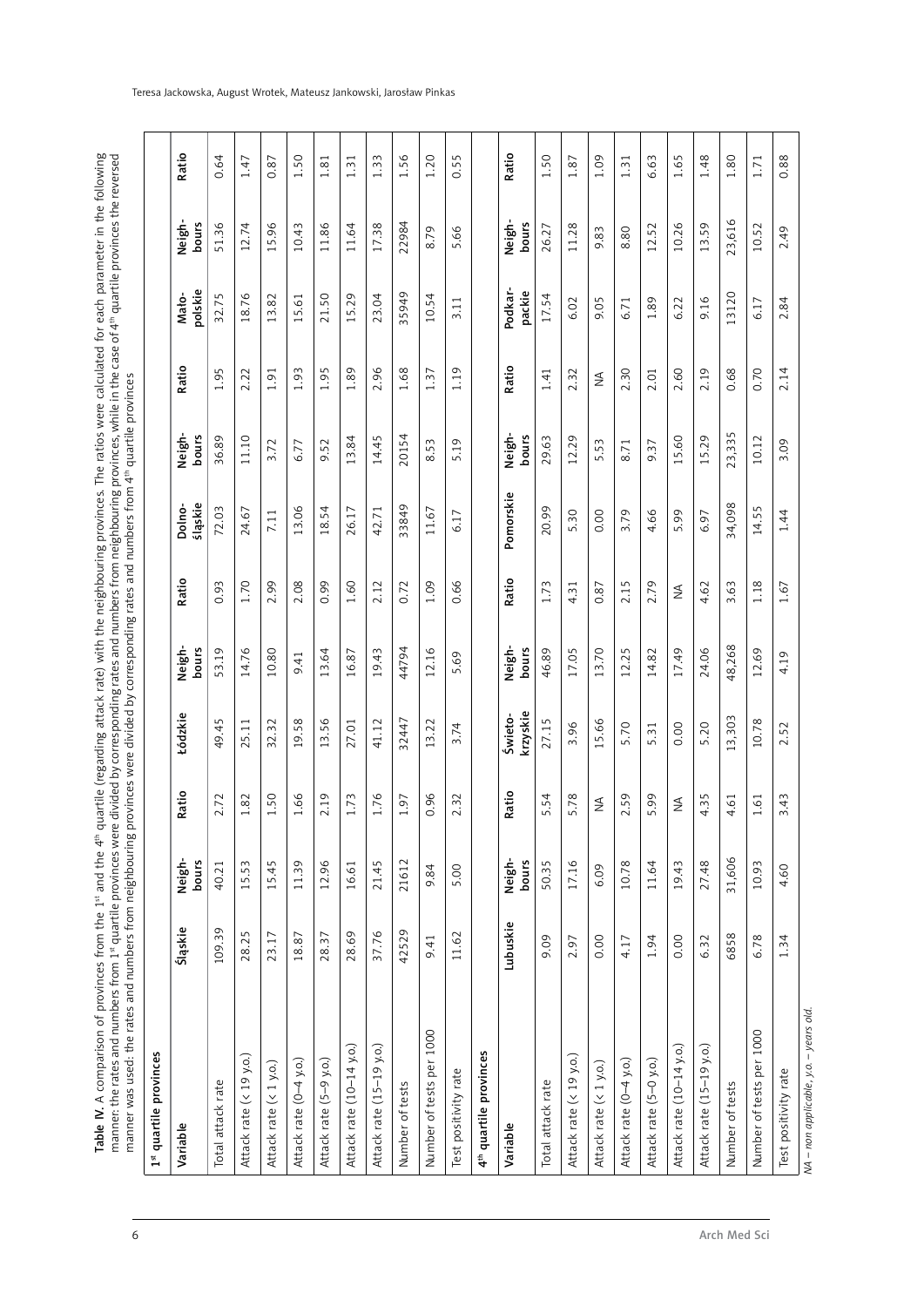Table IV. A comparison of provinces from the 1ª and the 4ª quartile (regarding attack rate) with the neighbouring provinces. The ratios were calculated for each parameter in the following<br>manner: the rates and numbers from Table IV. A comparison of provinces from the 1st and the 4th quartile (regarding attack rate) with the neighbouring provinces. The ratios were calculated for each parameter in the following manner: the rates and numbers from 1st quartile provinces were divided by corresponding rates and numbers from neighbouring provinces, while in the case of 4th quartile provinces the reversed manner was used: the rates and numbers from neighbouring provinces were divided by corresponding rates and numbers from 4th quartile provinces

| 1st quartile provinces                 |          |                 |                       |                     |                 |       |                   |                 |            |                  |                                  |            |
|----------------------------------------|----------|-----------------|-----------------------|---------------------|-----------------|-------|-------------------|-----------------|------------|------------------|----------------------------------|------------|
| Variable                               | Śląskie  | Neigh-<br>bours | latio<br>≃            | Łódzkie             | Neigh-<br>bours | Ratio | śląskie<br>Dolno- | Neigh-<br>bours | Ratio      | polskie<br>Mato- | Neigh-<br>bours                  | Ratio      |
| Total attack rate                      | 109.39   | 40.21           | 72                    | 49.45               | 53.19           | 0.93  | 72.03             | 36.89           | 1.95       | 32.75            | 51.36                            | 0.64       |
| Attack rate (< 19 y.o.)                | 28.25    | 15.53           | 82                    | 5.11<br>$\sim$      | 14.76           | 1.70  | 24.67             | 11.10           | 2.22       | 18.76            | 12.74                            | 1.47       |
| Attack rate (< 1 y.o.)                 | 23.17    | 15.45           | 50                    | 32.32               | 10.80           | 2.99  | 7.11              | 3.72            | 1.91       | 13.82            | 5.96<br>$\overline{\phantom{0}}$ | 0.87       |
| Attack rate (0-4 y.o.)                 | 18.87    | 11.39           | 66                    | 19.58               | 9.41            | 2.08  | 13.06             | 6.77            | 1.93       | 15.61            | 10.43                            | 50         |
| Attack rate (5-9 y.o.)                 | 28.37    | 12.96           | 01                    | 3.56                | 13.64           | 0.99  | 18.54             | 9.52            | 1.95       | 21.50            | 11.86                            | 1.81       |
| Attack rate (10-14 y.o.)               | 28.69    | 16.61           | .73                   | 27.01               | 6.87            | 1.60  | 26.17             | 13.84           | 1.89       | 15.29            | 11.64                            | $\ddot{3}$ |
| Attack rate (15-19 y.o.)               | 37.76    | 21.45           | .76                   | 41.12               | 9.43            | 2.12  | 42.71             | 14.45           | 2.96       | 23.04            | 17.38                            | 1.33       |
| Number of tests                        | 42529    | 21612           | 50                    | 32447               | 44794           | 0.72  | 33849             | 20154           | 1.68       | 35949            | 22984                            | 1.56       |
| Number of tests per 1000               | 9.41     | 9.84            | 96                    | 13.22               | 12.16           | 1.09  | 11.67             | 8.53            | 1.37       | 10.54            | 8.79                             | 1.20       |
| Test positivity rate                   | 11.62    | 5.00            | $\tilde{\mathcal{E}}$ | 3.74                | 5.69            | 0.66  | 6.17              | 5.19            | 1.19       | 3.11             | 5.66                             | 0.55       |
| 4 <sup>th</sup> quartile provinces     |          |                 |                       |                     |                 |       |                   |                 |            |                  |                                  |            |
| Variable                               | Lubuskie | Neigh-<br>bours | atio<br>≃             | krzyskie<br>Świeto- | Neigh-<br>bours | Ratio | Pomorskie         | Neigh-<br>bours | Ratio      | Podkar<br>packie | Neigh-<br>bours                  | Ratio      |
| Total attack rate                      | 9.09     | 50.35           | 54                    | 27.15               | 46.89           | 1.73  | 20.99             | 29.63           | 1.41       | 17.54            | 26.27                            | 1.50       |
| Attack rate (< 19 y.o.)                | 2.97     | 17.16           | .78<br>∽              | 3.96                | 17.05           | 4.31  | 5.30              | 12.29           | 2.32       | 6.02             | 11.28                            | 1.87       |
| Attack rate (< 1 y.o.)                 | 0.00     | 6.09            | $\lessgtr$            | 5.66                | 13.70           | 0.87  | 0.00              | 5.53            | $\lessgtr$ | 9.05             | 9.83                             | 1.09       |
| Attack rate (0-4 y.o.)                 | 4.17     | 10.78           | 59                    | 5.70                | 12.25           | 2.15  | 3.79              | 8.71            | 2.30       | 6.71             | 8.80                             | 1.31       |
| Attack rate (5-0 y.o.)                 | 1.94     | 11.64           | 99<br>ו ⊔             | 5.31                | 14.82           | 2.79  | 4.66              | 9.37            | 2.01       | 1.89             | 12.52                            | 6.63       |
| Attack rate (10-14 y.o.)               | 0.00     | 19.43           | $\leq$                | 0.00                | 17.49           | ≸     | 5.99              | 15.60           | 2.60       | 6.22             | 10.26                            | 1.65       |
| Attack rate (15-19 y.o.)               | 6.32     | 27.48           | S<br>w                | 5.20                | 24.06           | 4.62  | 6.97              | 15.29           | 2.19       | 9.16             | 13.59                            | 1.48       |
| Number of tests                        | 6858     | 31,606          | $\overline{6}$        | 3,303               | 48,268          | 3.63  | 34,098            | 23,335          | 0.68       | 3120             | 23,616                           | 1.80       |
| Number of tests per 1000               | 6.78     | 10.93           | $\overline{61}$       | 10.78               | 12.69           | 1.18  | 14.55             | 10.12           | 0.70       | 6.17             | 10.52                            | 1.71       |
| Test positivity rate                   | 1.34     | 4.60            | 43                    | 2.52                | 4.19            | 1.67  | 1.44              | 3.09            | 2.14       | 2.84             | 2.49                             | 0.88       |
| NA – non applicable, y.o. – years old. |          |                 |                       |                     |                 |       |                   |                 |            |                  |                                  |            |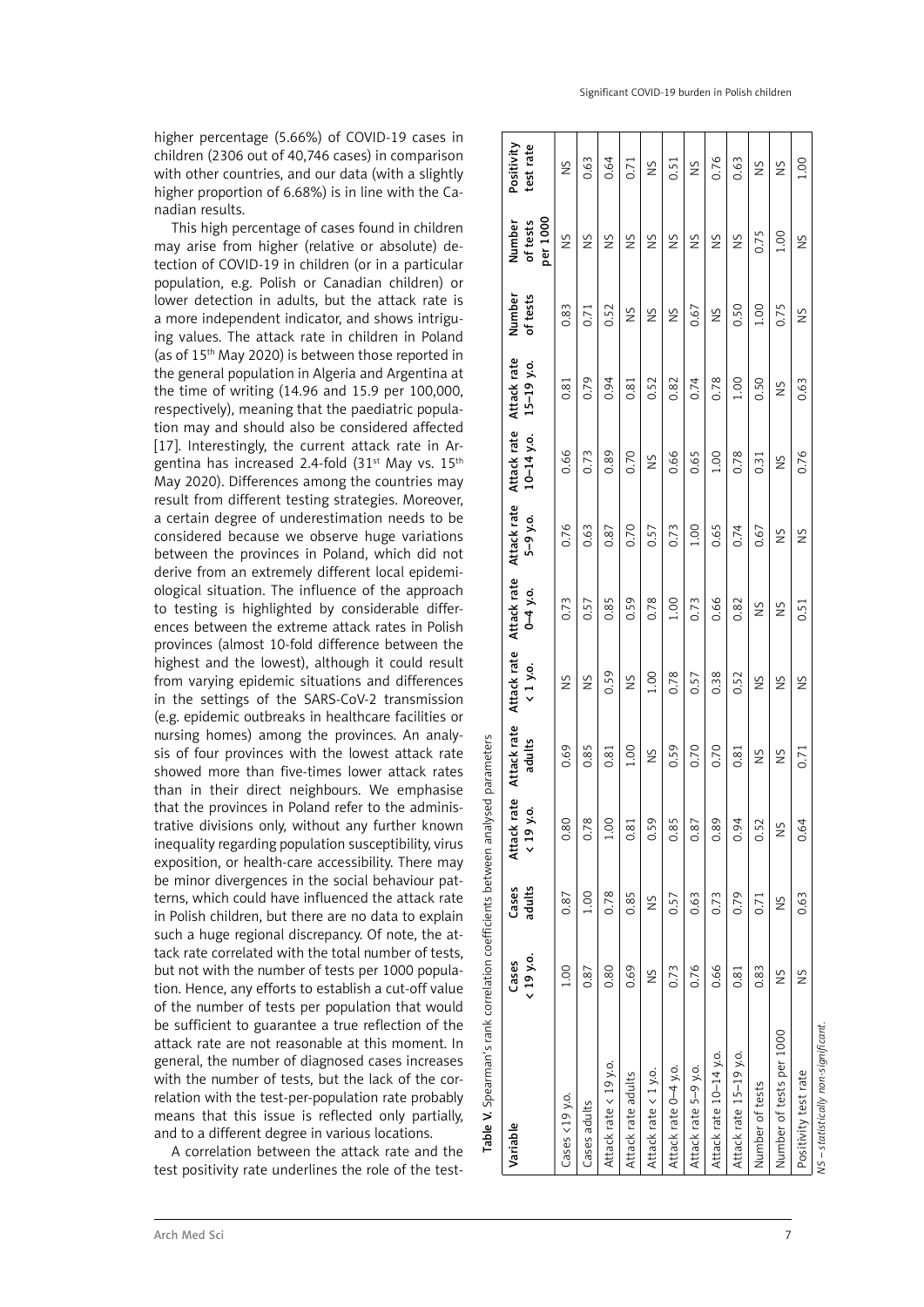higher percentage (5.66%) of COVID-19 cases in children (2306 out of 40,746 cases) in comparison with other countries, and our data (with a slightly higher proportion of 6.68%) is in line with the Canadian results.

This high percentage of cases found in children may arise from higher (relative or absolute) detection of COVID-19 in children (or in a particular population, e.g. Polish or Canadian children) or lower detection in adults, but the attack rate is a more independent indicator, and shows intriguing values. The attack rate in children in Poland (as of 15th May 2020) is between those reported in the general population in Algeria and Argentina at the time of writing (14.96 and 15.9 per 100,000, respectively), meaning that the paediatric population may and should also be considered affected [17]. Interestingly, the current attack rate in Argentina has increased 2.4-fold (31<sup>st</sup> May vs. 15<sup>th</sup> May 2020). Differences among the countries may result from different testing strategies. Moreover, a certain degree of underestimation needs to be considered because we observe huge variations between the provinces in Poland, which did not derive from an extremely different local epidemiological situation. The influence of the approach to testing is highlighted by considerable differences between the extreme attack rates in Polish provinces (almost 10-fold difference between the highest and the lowest), although it could result from varying epidemic situations and differences in the settings of the SARS-CoV-2 transmission (e.g. epidemic outbreaks in healthcare facilities or nursing homes) among the provinces. An analysis of four provinces with the lowest attack rate showed more than five-times lower attack rates than in their direct neighbours. We emphasise that the provinces in Poland refer to the administrative divisions only, without any further known inequality regarding population susceptibility, virus exposition, or health-care accessibility. There may be minor divergences in the social behaviour patterns, which could have influenced the attack rate in Polish children, but there are no data to explain such a huge regional discrepancy. Of note, the attack rate correlated with the total number of tests, but not with the number of tests per 1000 population. Hence, any efforts to establish a cut-off value of the number of tests per population that would be sufficient to guarantee a true reflection of the attack rate are not reasonable at this moment. In general, the number of diagnosed cases increases with the number of tests, but the lack of the correlation with the test-per-population rate probably means that this issue is reflected only partially, and to a different degree in various locations.

A correlation between the attack rate and the test positivity rate underlines the role of the testSignificant COVID-19 burden in Polish children

| Table V. Spearman's rank correlation coefficients between analysed parameters |                   |                 |                                                                |                       |                              |              |                                         |                               |                               |                    |                                |                         |
|-------------------------------------------------------------------------------|-------------------|-----------------|----------------------------------------------------------------|-----------------------|------------------------------|--------------|-----------------------------------------|-------------------------------|-------------------------------|--------------------|--------------------------------|-------------------------|
| Variable                                                                      | <19 y.o.<br>Cases | adults<br>Cases | rate<br>$\dot{\mathbf{e}}$<br>Attack  <br>$\langle 19 \rangle$ | Attack rate<br>adults | Attack rate<br>$\leq 1$ y.o. | $0 - 4$ y.o. | Attack rate Attack rate<br>$5 - 9 - 0.$ | Attack rate<br>$10 - 14$ y.o. | Attack rate<br>$15 - 19$ y.o. | Number<br>of tests | per 1000<br>of tests<br>Number | Positivity<br>test rate |
| Cases <19 y.o.                                                                | 1.00              | 0.87            | 0.80                                                           | 0.69                  | Š                            | 0.73         | 0.76                                    | 0.66                          | 0.81                          | 0.83               | SN                             | Š                       |
| Cases adults                                                                  | 0.87              | 0.100           | 0.78                                                           | 0.85                  | Š                            | 0.57         | 0.63                                    | 0.73                          | 0.79                          | 0.71               | SN                             | 0.63                    |
| Attack rate < 19 y.o.                                                         | 0.80              | 0.78            | 1.00                                                           | 0.81                  | 0.59                         | 0.85         | 0.87                                    | 0.89                          | 0.94                          | 0.52               | $\frac{5}{2}$                  | 0.64                    |
| Attack rate adults                                                            | 0.69              | 0.85            | 0.81                                                           | 1.00                  | SN                           | 0.59         | 0.70                                    | 0.70                          | 0.81                          | Š                  | SN                             | 0.71                    |
| Attack rate < 1 y.o.                                                          | $\frac{5}{2}$     | Š               | 0.59                                                           | $\frac{5}{2}$         | 1.00                         | 0.78         | 0.57                                    | SN                            | 0.52                          | Š                  | ŠN                             | ŠN                      |
| Attack rate 0-4 y.o.                                                          | 0.73              | 0.57            | 0.85                                                           | 0.59                  | 0.78                         | 1.00         | 0.73                                    | 0.66                          | 0.82                          | $\frac{5}{2}$      | ŠN                             | 0.51                    |
| Attack rate 5-9 y.o.                                                          | 0.76              | 0.63            | 0.87                                                           | 0.70                  | 0.57                         | 0.73         | 1.00                                    | 0.65                          | 0.74                          | 0.67               | SN                             | ŠN                      |
| Attack rate 10-14 y.o.                                                        | 0.66              | 0.73            | 0.89                                                           | 0.70                  | 0.38                         | 0.66         | 0.65                                    | 1.00                          | 0.78                          | Š                  | Š                              | 0.76                    |
| Attack rate 15-19 y.o.                                                        | 0.81              | 0.79            | 0.94                                                           | 0.81                  | 0.52                         | 0.82         | 0.74                                    | 0.78                          | 1.00                          | 0.50               | $\frac{5}{2}$                  | 0.63                    |
| Number of tests                                                               | 0.83              | 0.71            | 0.52                                                           | Š                     | SN                           | SN           | 0.67                                    | 0.31                          | 0.50                          | 1.00               | 0.75                           | SN                      |
| Number of tests per 1000                                                      | Š                 | $\frac{5}{2}$   | $\frac{5}{2}$                                                  | Š                     | $\frac{5}{2}$                | SN           | SN                                      | Š                             | SZ                            | 0.75               | 1.00                           | $\frac{5}{2}$           |
| Positivity test rate                                                          | Š                 | 0.63            | 0.64                                                           | 0.71                  | Š                            | 0.51         | ŠN                                      | 0.76                          | 0.63                          | ŠN                 | Š                              | 001                     |
| $NS - statistically non-signification t$                                      |                   |                 |                                                                |                       |                              |              |                                         |                               |                               |                    |                                |                         |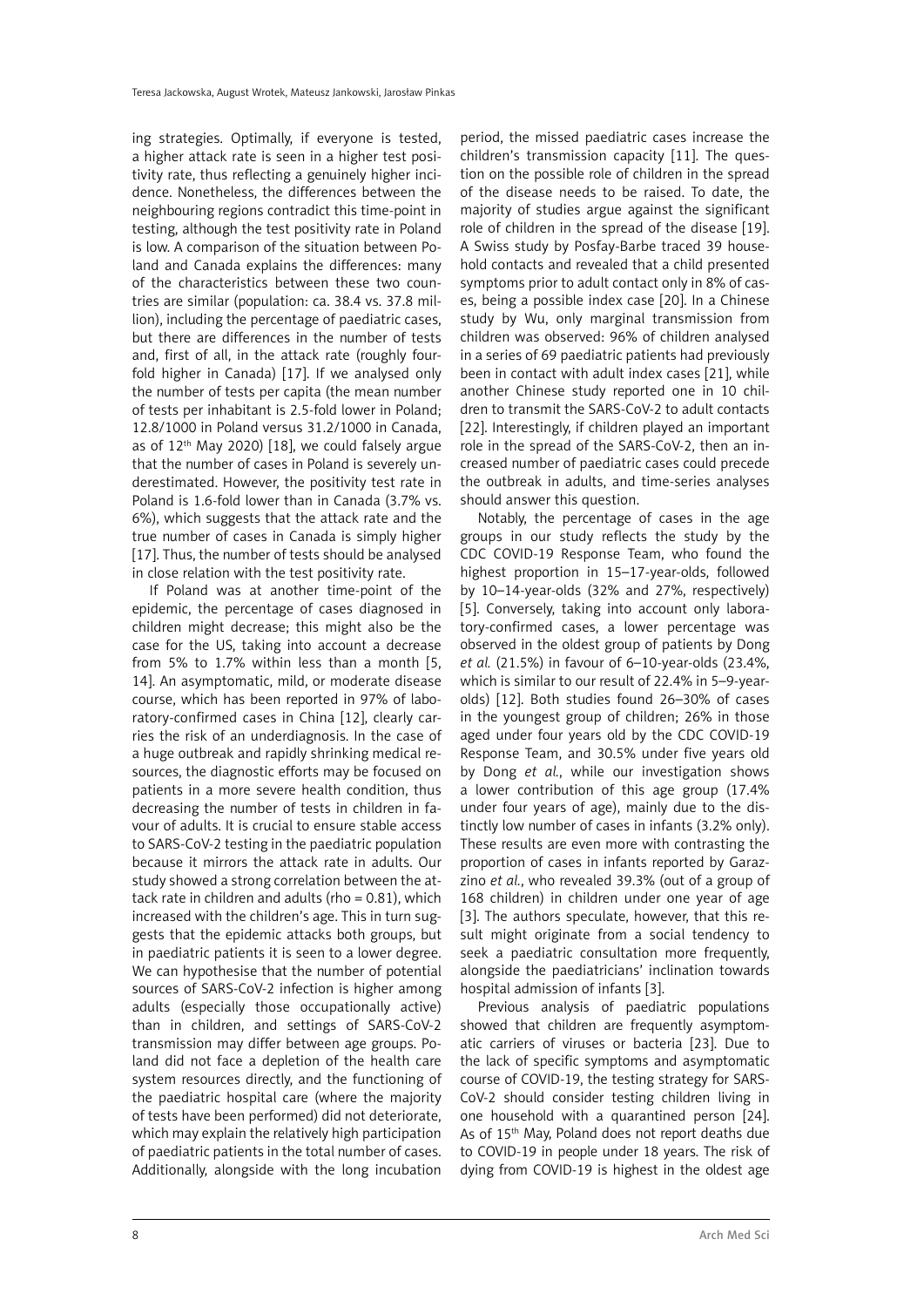ing strategies. Optimally, if everyone is tested, a higher attack rate is seen in a higher test positivity rate, thus reflecting a genuinely higher incidence. Nonetheless, the differences between the neighbouring regions contradict this time-point in testing, although the test positivity rate in Poland is low. A comparison of the situation between Poland and Canada explains the differences: many of the characteristics between these two countries are similar (population: ca. 38.4 vs. 37.8 million), including the percentage of paediatric cases, but there are differences in the number of tests and, first of all, in the attack rate (roughly fourfold higher in Canada) [17]. If we analysed only the number of tests per capita (the mean number of tests per inhabitant is 2.5-fold lower in Poland; 12.8/1000 in Poland versus 31.2/1000 in Canada, as of 12<sup>th</sup> May 2020) [18], we could falsely argue that the number of cases in Poland is severely underestimated. However, the positivity test rate in Poland is 1.6-fold lower than in Canada (3.7% vs. 6%), which suggests that the attack rate and the true number of cases in Canada is simply higher [17]. Thus, the number of tests should be analysed in close relation with the test positivity rate.

If Poland was at another time-point of the epidemic, the percentage of cases diagnosed in children might decrease; this might also be the case for the US, taking into account a decrease from 5% to 1.7% within less than a month [5, 14]. An asymptomatic, mild, or moderate disease course, which has been reported in 97% of laboratory-confirmed cases in China [12], clearly carries the risk of an underdiagnosis. In the case of a huge outbreak and rapidly shrinking medical resources, the diagnostic efforts may be focused on patients in a more severe health condition, thus decreasing the number of tests in children in favour of adults. It is crucial to ensure stable access to SARS-CoV-2 testing in the paediatric population because it mirrors the attack rate in adults. Our study showed a strong correlation between the attack rate in children and adults (rho  $= 0.81$ ), which increased with the children's age. This in turn suggests that the epidemic attacks both groups, but in paediatric patients it is seen to a lower degree. We can hypothesise that the number of potential sources of SARS-CoV-2 infection is higher among adults (especially those occupationally active) than in children, and settings of SARS-CoV-2 transmission may differ between age groups. Poland did not face a depletion of the health care system resources directly, and the functioning of the paediatric hospital care (where the majority of tests have been performed) did not deteriorate, which may explain the relatively high participation of paediatric patients in the total number of cases. Additionally, alongside with the long incubation

period, the missed paediatric cases increase the children's transmission capacity [11]. The question on the possible role of children in the spread of the disease needs to be raised. To date, the majority of studies argue against the significant role of children in the spread of the disease [19]. A Swiss study by Posfay-Barbe traced 39 household contacts and revealed that a child presented symptoms prior to adult contact only in 8% of cases, being a possible index case [20]. In a Chinese study by Wu, only marginal transmission from children was observed: 96% of children analysed in a series of 69 paediatric patients had previously been in contact with adult index cases [21], while another Chinese study reported one in 10 children to transmit the SARS-CoV-2 to adult contacts [22]. Interestingly, if children played an important role in the spread of the SARS-CoV-2, then an increased number of paediatric cases could precede the outbreak in adults, and time-series analyses should answer this question.

Notably, the percentage of cases in the age groups in our study reflects the study by the CDC COVID-19 Response Team, who found the highest proportion in 15–17-year-olds, followed by 10–14-year-olds (32% and 27%, respectively) [5]. Conversely, taking into account only laboratory-confirmed cases, a lower percentage was observed in the oldest group of patients by Dong *et al.* (21.5%) in favour of 6–10-year-olds (23.4%, which is similar to our result of 22.4% in 5–9-yearolds) [12]. Both studies found 26–30% of cases in the youngest group of children; 26% in those aged under four years old by the CDC COVID-19 Response Team, and 30.5% under five years old by Dong *et al.*, while our investigation shows a lower contribution of this age group (17.4% under four years of age), mainly due to the distinctly low number of cases in infants (3.2% only). These results are even more with contrasting the proportion of cases in infants reported by Garazzino *et al.*, who revealed 39.3% (out of a group of 168 children) in children under one year of age [3]. The authors speculate, however, that this result might originate from a social tendency to seek a paediatric consultation more frequently, alongside the paediatricians' inclination towards hospital admission of infants [3].

Previous analysis of paediatric populations showed that children are frequently asymptomatic carriers of viruses or bacteria [23]. Due to the lack of specific symptoms and asymptomatic course of COVID-19, the testing strategy for SARS-CoV-2 should consider testing children living in one household with a quarantined person [24]. As of 15<sup>th</sup> May, Poland does not report deaths due to COVID-19 in people under 18 years. The risk of dying from COVID-19 is highest in the oldest age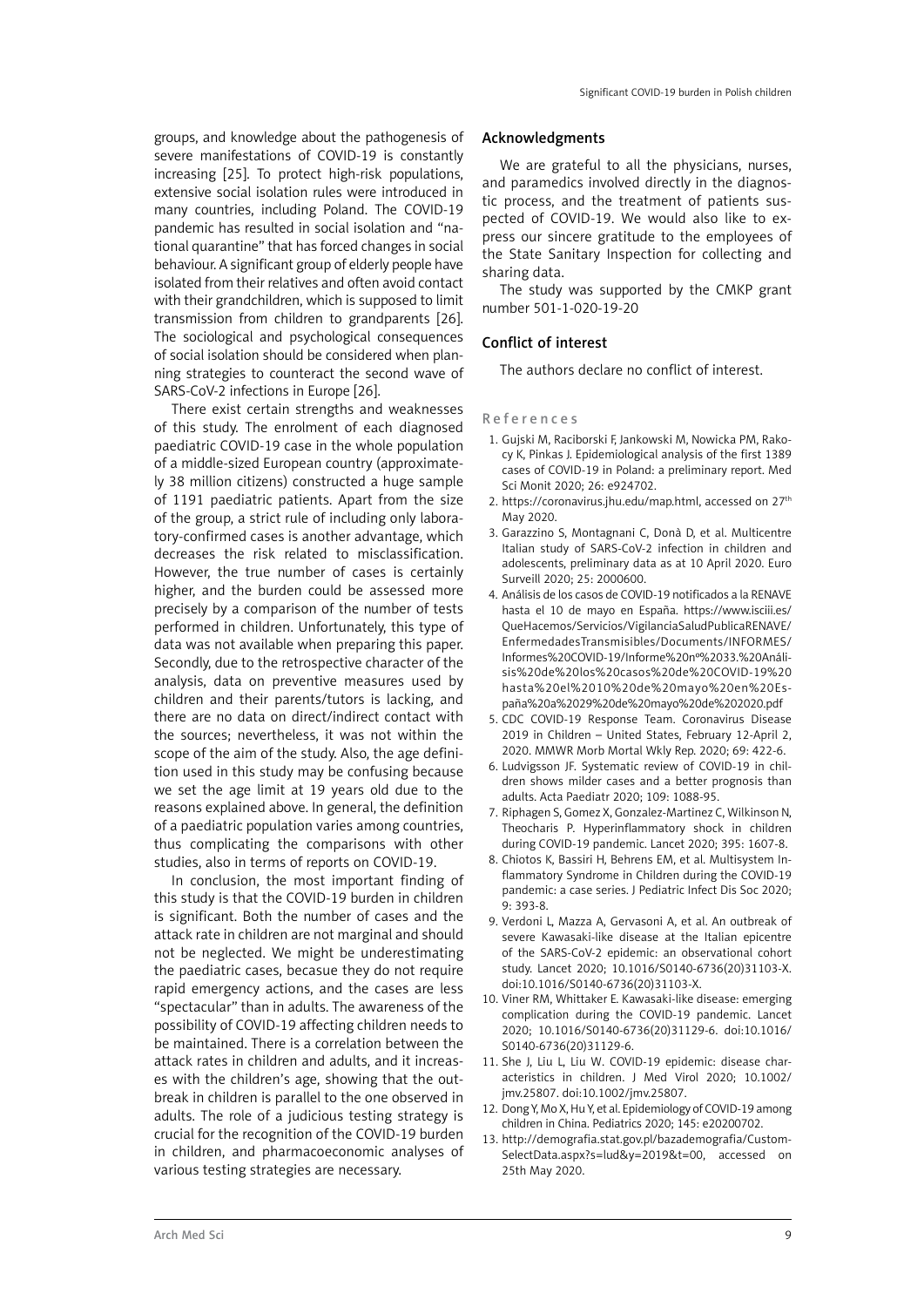groups, and knowledge about the pathogenesis of severe manifestations of COVID-19 is constantly increasing [25]. To protect high-risk populations, extensive social isolation rules were introduced in many countries, including Poland. The COVID-19 pandemic has resulted in social isolation and "national quarantine" that has forced changes in social behaviour. A significant group of elderly people have isolated from their relatives and often avoid contact with their grandchildren, which is supposed to limit transmission from children to grandparents [26]. The sociological and psychological consequences of social isolation should be considered when planning strategies to counteract the second wave of SARS-CoV-2 infections in Europe [26].

There exist certain strengths and weaknesses of this study. The enrolment of each diagnosed paediatric COVID-19 case in the whole population of a middle-sized European country (approximately 38 million citizens) constructed a huge sample of 1191 paediatric patients. Apart from the size of the group, a strict rule of including only laboratory-confirmed cases is another advantage, which decreases the risk related to misclassification. However, the true number of cases is certainly higher, and the burden could be assessed more precisely by a comparison of the number of tests performed in children. Unfortunately, this type of data was not available when preparing this paper. Secondly, due to the retrospective character of the analysis, data on preventive measures used by children and their parents/tutors is lacking, and there are no data on direct/indirect contact with the sources; nevertheless, it was not within the scope of the aim of the study. Also, the age definition used in this study may be confusing because we set the age limit at 19 years old due to the reasons explained above. In general, the definition of a paediatric population varies among countries, thus complicating the comparisons with other studies, also in terms of reports on COVID-19.

In conclusion, the most important finding of this study is that the COVID-19 burden in children is significant. Both the number of cases and the attack rate in children are not marginal and should not be neglected. We might be underestimating the paediatric cases, becasue they do not require rapid emergency actions, and the cases are less "spectacular" than in adults. The awareness of the possibility of COVID-19 affecting children needs to be maintained. There is a correlation between the attack rates in children and adults, and it increases with the children's age, showing that the outbreak in children is parallel to the one observed in adults. The role of a judicious testing strategy is crucial for the recognition of the COVID-19 burden in children, and pharmacoeconomic analyses of various testing strategies are necessary.

#### Acknowledgments

We are grateful to all the physicians, nurses, and paramedics involved directly in the diagnostic process, and the treatment of patients suspected of COVID-19. We would also like to express our sincere gratitude to the employees of the State Sanitary Inspection for collecting and sharing data.

The study was supported by the CMKP grant number 501-1-020-19-20

#### Conflict of interest

The authors declare no conflict of interest.

#### R e f e r e n c e s

- 1. Gujski M, Raciborski F, Jankowski M, Nowicka PM, Rakocy K, Pinkas J. Epidemiological analysis of the first 1389 cases of COVID-19 in Poland: a preliminary report. Med Sci Monit 2020; 26: e924702.
- 2. https://coronavirus.jhu.edu/map.html, accessed on 27<sup>th</sup> May 2020.
- 3. Garazzino S, Montagnani C, Donà D, et al. Multicentre Italian study of SARS-CoV-2 infection in children and adolescents, preliminary data as at 10 April 2020. Euro Surveill 2020; 25: 2000600.
- 4. Análisis de los casos de COVID-19 notificados a la RENAVE hasta el 10 de mayo en España. https://www.isciii.es/ QueHacemos/Servicios/VigilanciaSaludPublicaRENAVE/ EnfermedadesTransmisibles/Documents/INFORMES/ Informes%20COVID-19/Informe%20nº%2033.%20Análisis%20de%20los%20casos%20de%20COVID-19%20 hasta%20el%2010%20de%20mayo%20en%20España%20a%2029%20de%20mayo%20de%202020.pdf
- 5. CDC COVID-19 Response Team. Coronavirus Disease 2019 in Children – United States, February 12-April 2, 2020. MMWR Morb Mortal Wkly Rep. 2020; 69: 422-6.
- 6. Ludvigsson JF. Systematic review of COVID-19 in children shows milder cases and a better prognosis than adults. Acta Paediatr 2020; 109: 1088-95.
- 7. Riphagen S, Gomez X, Gonzalez-Martinez C, Wilkinson N, Theocharis P. Hyperinflammatory shock in children during COVID-19 pandemic. Lancet 2020; 395: 1607-8.
- 8. Chiotos K, Bassiri H, Behrens EM, et al. Multisystem Inflammatory Syndrome in Children during the COVID-19 pandemic: a case series. J Pediatric Infect Dis Soc 2020; 9: 393-8.
- 9. Verdoni L, Mazza A, Gervasoni A, et al. An outbreak of severe Kawasaki-like disease at the Italian epicentre of the SARS-CoV-2 epidemic: an observational cohort study. Lancet 2020; 10.1016/S0140-6736(20)31103-X. doi:10.1016/S0140-6736(20)31103-X.
- 10. Viner RM, Whittaker E. Kawasaki-like disease: emerging complication during the COVID-19 pandemic. Lancet 2020; 10.1016/S0140-6736(20)31129-6. doi:10.1016/ S0140-6736(20)31129-6.
- 11. She J, Liu L, Liu W. COVID-19 epidemic: disease characteristics in children. J Med Virol 2020; 10.1002/ jmv.25807. doi:10.1002/jmv.25807.
- 12. Dong Y, Mo X, Hu Y, et al. Epidemiology of COVID-19 among children in China. Pediatrics 2020; 145: e20200702.
- 13. http://demografia.stat.gov.pl/bazademografia/Custom-SelectData.aspx?s=lud&y=2019&t=00, accessed on 25th May 2020.